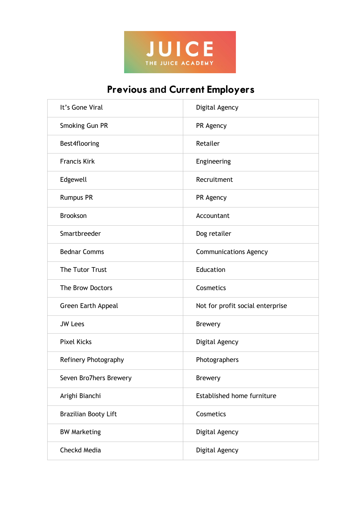

## Previous **and** Current Employers

| It's Gone Viral           | Digital Agency                   |
|---------------------------|----------------------------------|
| Smoking Gun PR            | PR Agency                        |
| Best4flooring             | Retailer                         |
| <b>Francis Kirk</b>       | Engineering                      |
| Edgewell                  | Recruitment                      |
| <b>Rumpus PR</b>          | PR Agency                        |
| <b>Brookson</b>           | Accountant                       |
| Smartbreeder              | Dog retailer                     |
| <b>Bednar Comms</b>       | <b>Communications Agency</b>     |
| The Tutor Trust           | Education                        |
| The Brow Doctors          | Cosmetics                        |
| <b>Green Earth Appeal</b> | Not for profit social enterprise |
| <b>JW Lees</b>            | <b>Brewery</b>                   |
| <b>Pixel Kicks</b>        | Digital Agency                   |
| Refinery Photography      | Photographers                    |
| Seven Bro7hers Brewery    | <b>Brewery</b>                   |
| Arighi Bianchi            | Established home furniture       |
| Brazilian Booty Lift      | Cosmetics                        |
| <b>BW Marketing</b>       | Digital Agency                   |
| Checkd Media              | Digital Agency                   |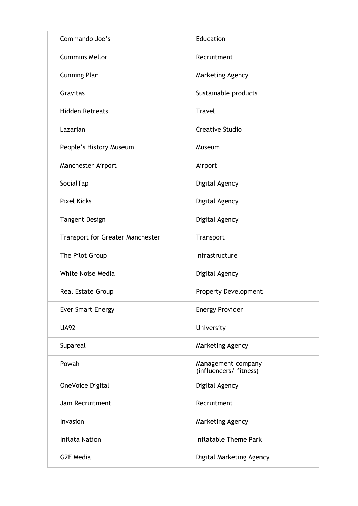| Commando Joe's                          | Education                                    |
|-----------------------------------------|----------------------------------------------|
| <b>Cummins Mellor</b>                   | Recruitment                                  |
| <b>Cunning Plan</b>                     | Marketing Agency                             |
| Gravitas                                | Sustainable products                         |
| <b>Hidden Retreats</b>                  | <b>Travel</b>                                |
| Lazarian                                | <b>Creative Studio</b>                       |
| People's History Museum                 | Museum                                       |
| Manchester Airport                      | Airport                                      |
| SocialTap                               | Digital Agency                               |
| <b>Pixel Kicks</b>                      | Digital Agency                               |
| <b>Tangent Design</b>                   | Digital Agency                               |
| <b>Transport for Greater Manchester</b> | Transport                                    |
| The Pilot Group                         | Infrastructure                               |
| White Noise Media                       | Digital Agency                               |
| <b>Real Estate Group</b>                | <b>Property Development</b>                  |
| <b>Ever Smart Energy</b>                | <b>Energy Provider</b>                       |
| <b>UA92</b>                             | University                                   |
| Supareal                                | Marketing Agency                             |
| Powah                                   | Management company<br>(influencers/ fitness) |
| OneVoice Digital                        | Digital Agency                               |
| Jam Recruitment                         | Recruitment                                  |
| Invasion                                | Marketing Agency                             |
| <b>Inflata Nation</b>                   | <b>Inflatable Theme Park</b>                 |
| G2F Media                               | Digital Marketing Agency                     |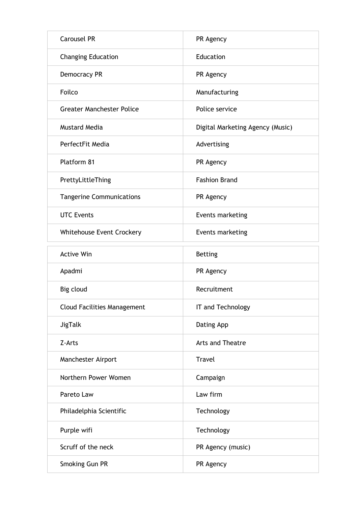| <b>Carousel PR</b>                 | PR Agency                        |
|------------------------------------|----------------------------------|
| <b>Changing Education</b>          | Education                        |
| <b>Democracy PR</b>                | PR Agency                        |
| Foilco                             | Manufacturing                    |
| <b>Greater Manchester Police</b>   | Police service                   |
| <b>Mustard Media</b>               | Digital Marketing Agency (Music) |
| PerfectFit Media                   | Advertising                      |
| Platform 81                        | PR Agency                        |
| PrettyLittleThing                  | <b>Fashion Brand</b>             |
| <b>Tangerine Communications</b>    | PR Agency                        |
| <b>UTC Events</b>                  | Events marketing                 |
| Whitehouse Event Crockery          | Events marketing                 |
| <b>Active Win</b>                  | <b>Betting</b>                   |
| Apadmi                             | PR Agency                        |
| Big cloud                          | Recruitment                      |
| <b>Cloud Facilities Management</b> | IT and Technology                |
| <b>JigTalk</b>                     | Dating App                       |
| Z-Arts                             | <b>Arts and Theatre</b>          |
| Manchester Airport                 | <b>Travel</b>                    |
| Northern Power Women               | Campaign                         |
| Pareto Law                         | Law firm                         |
| Philadelphia Scientific            | Technology                       |
| Purple wifi                        | Technology                       |
| Scruff of the neck                 | PR Agency (music)                |
| Smoking Gun PR                     | PR Agency                        |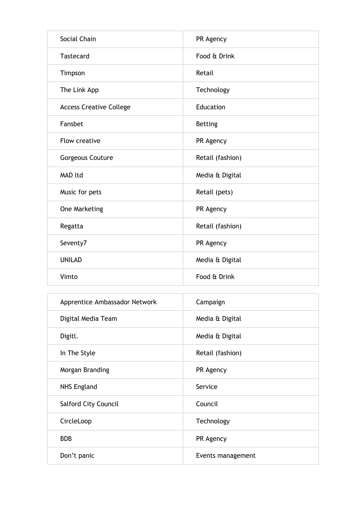| Social Chain                   | PR Agency        |
|--------------------------------|------------------|
| <b>Tastecard</b>               | Food & Drink     |
| Timpson                        | Retail           |
| The Link App                   | Technology       |
| <b>Access Creative College</b> | Education        |
| Fansbet                        | <b>Betting</b>   |
| Flow creative                  | PR Agency        |
| Gorgeous Couture               | Retail (fashion) |
| MAD ltd                        | Media & Digital  |
| Music for pets                 | Retail (pets)    |
| One Marketing                  | PR Agency        |
| Regatta                        | Retail (fashion) |
| Seventy7                       | PR Agency        |
| <b>UNILAD</b>                  | Media & Digital  |
| Vimto                          | Food & Drink     |
|                                |                  |

| Apprentice Ambassador Network | Campaign          |
|-------------------------------|-------------------|
| Digital Media Team            | Media & Digital   |
| Digitl.                       | Media & Digital   |
| In The Style                  | Retail (fashion)  |
| Morgan Branding               | PR Agency         |
| <b>NHS England</b>            | Service           |
| <b>Salford City Council</b>   | Council           |
| CircleLoop                    | Technology        |
| <b>BDB</b>                    | PR Agency         |
| Don't panic                   | Events management |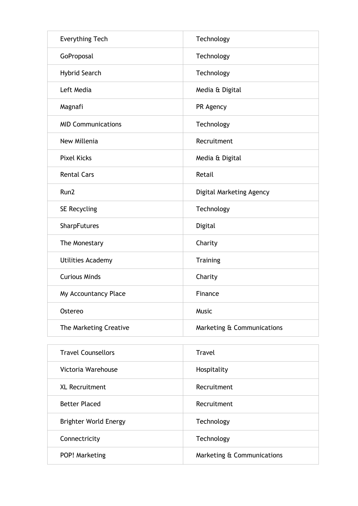| <b>Everything Tech</b>    | Technology                 |
|---------------------------|----------------------------|
| GoProposal                | Technology                 |
| <b>Hybrid Search</b>      | Technology                 |
| Left Media                | Media & Digital            |
| Magnafi                   | PR Agency                  |
| <b>MID Communications</b> | Technology                 |
| New Millenia              | Recruitment                |
| <b>Pixel Kicks</b>        | Media & Digital            |
| <b>Rental Cars</b>        | Retail                     |
| Run2                      | Digital Marketing Agency   |
| SE Recycling              | Technology                 |
| SharpFutures              | Digital                    |
| The Monestary             | Charity                    |
| <b>Utilities Academy</b>  | <b>Training</b>            |
| <b>Curious Minds</b>      | Charity                    |
| My Accountancy Place      | Finance                    |
| Ostereo                   | <b>Music</b>               |
| The Marketing Creative    | Marketing & Communications |

| <b>Travel Counsellors</b>    | Travel                     |
|------------------------------|----------------------------|
| Victoria Warehouse           | Hospitality                |
| XL Recruitment               | Recruitment                |
| <b>Better Placed</b>         | Recruitment                |
| <b>Brighter World Energy</b> | Technology                 |
| Connectricity                | Technology                 |
| POP! Marketing               | Marketing & Communications |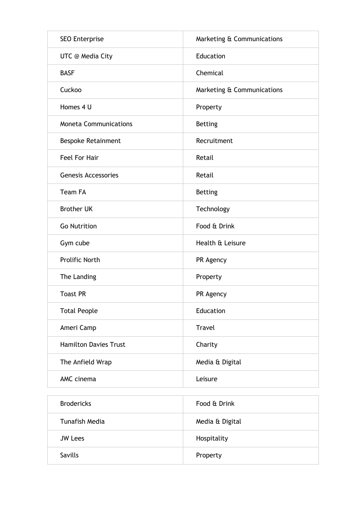| <b>SEO Enterprise</b>        | Marketing & Communications |
|------------------------------|----------------------------|
| <b>UTC</b> @ Media City      | Education                  |
| <b>BASF</b>                  | Chemical                   |
| Cuckoo                       | Marketing & Communications |
| Homes 4 U                    | Property                   |
| <b>Moneta Communications</b> | <b>Betting</b>             |
| <b>Bespoke Retainment</b>    | Recruitment                |
| Feel For Hair                | Retail                     |
| <b>Genesis Accessories</b>   | Retail                     |
| <b>Team FA</b>               | <b>Betting</b>             |
| <b>Brother UK</b>            | Technology                 |
| <b>Go Nutrition</b>          | Food & Drink               |
| Gym cube                     | Health & Leisure           |
| <b>Prolific North</b>        | PR Agency                  |
| The Landing                  | Property                   |
| <b>Toast PR</b>              | PR Agency                  |
| <b>Total People</b>          | Education                  |
| Ameri Camp                   | Travel                     |
| <b>Hamilton Davies Trust</b> | Charity                    |
| The Anfield Wrap             | Media & Digital            |
| AMC cinema                   | Leisure                    |

| <b>Brodericks</b>     | Food & Drink    |
|-----------------------|-----------------|
| <b>Tunafish Media</b> | Media & Digital |
| <b>JW Lees</b>        | Hospitality     |
| Savills               | Property        |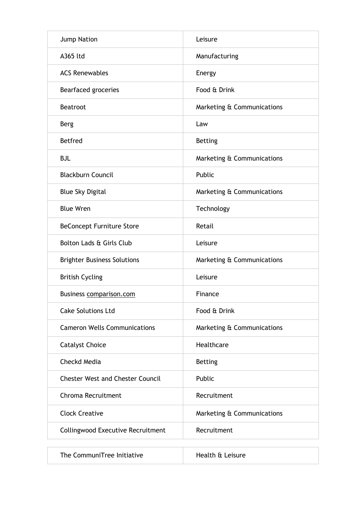| <b>Jump Nation</b>                       | Leisure                    |
|------------------------------------------|----------------------------|
| A365 ltd                                 | Manufacturing              |
| <b>ACS Renewables</b>                    | Energy                     |
| Bearfaced groceries                      | Food & Drink               |
| <b>Beatroot</b>                          | Marketing & Communications |
| <b>Berg</b>                              | Law                        |
| <b>Betfred</b>                           | <b>Betting</b>             |
| <b>BJL</b>                               | Marketing & Communications |
| <b>Blackburn Council</b>                 | Public                     |
| <b>Blue Sky Digital</b>                  | Marketing & Communications |
| <b>Blue Wren</b>                         | Technology                 |
| <b>BeConcept Furniture Store</b>         | Retail                     |
| Bolton Lads & Girls Club                 | Leisure                    |
| <b>Brighter Business Solutions</b>       | Marketing & Communications |
| <b>British Cycling</b>                   | Leisure                    |
| Business comparison.com                  | Finance                    |
| <b>Cake Solutions Ltd</b>                | Food & Drink               |
| <b>Cameron Wells Communications</b>      | Marketing & Communications |
| <b>Catalyst Choice</b>                   | Healthcare                 |
| Checkd Media                             | <b>Betting</b>             |
| <b>Chester West and Chester Council</b>  | Public                     |
| Chroma Recruitment                       | Recruitment                |
| <b>Clock Creative</b>                    | Marketing & Communications |
| <b>Collingwood Executive Recruitment</b> | Recruitment                |

The CommuniTree Initiative Health & Leisure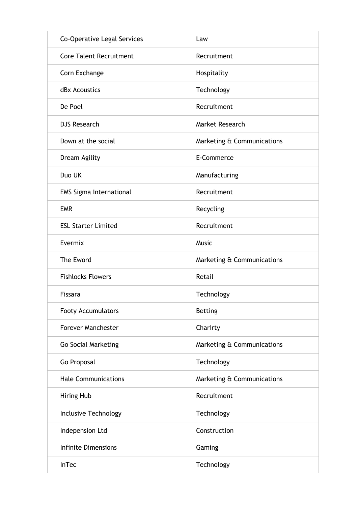| Co-Operative Legal Services    | Law                        |
|--------------------------------|----------------------------|
| <b>Core Talent Recruitment</b> | Recruitment                |
| Corn Exchange                  | Hospitality                |
| dBx Acoustics                  | Technology                 |
| De Poel                        | Recruitment                |
| <b>DJS Research</b>            | Market Research            |
| Down at the social             | Marketing & Communications |
| Dream Agility                  | E-Commerce                 |
| Duo UK                         | Manufacturing              |
| <b>EMS Sigma International</b> | Recruitment                |
| <b>EMR</b>                     | Recycling                  |
| <b>ESL Starter Limited</b>     | Recruitment                |
| Evermix                        | Music                      |
|                                |                            |
| The Eword                      | Marketing & Communications |
| <b>Fishlocks Flowers</b>       | Retail                     |
| Fissara                        | Technology                 |
| Footy Accumulators             | <b>Betting</b>             |
| <b>Forever Manchester</b>      | Charirty                   |
| <b>Go Social Marketing</b>     | Marketing & Communications |
| Go Proposal                    | Technology                 |
| <b>Hale Communications</b>     | Marketing & Communications |
| <b>Hiring Hub</b>              | Recruitment                |
| Inclusive Technology           | Technology                 |
| Indepension Ltd                | Construction               |
| <b>Infinite Dimensions</b>     | Gaming                     |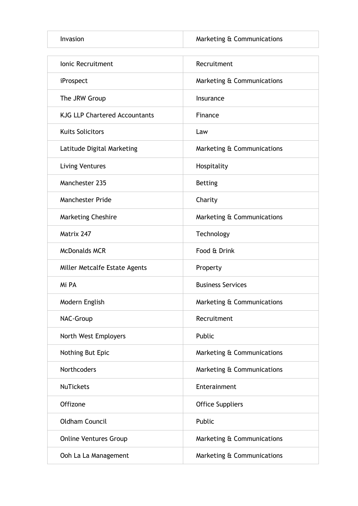Invasion **Marketing & Communications** 

| <b>Ionic Recruitment</b>             | Recruitment                |
|--------------------------------------|----------------------------|
| iProspect                            | Marketing & Communications |
| The JRW Group                        | Insurance                  |
| <b>KJG LLP Chartered Accountants</b> | Finance                    |
| <b>Kuits Solicitors</b>              | Law                        |
| Latitude Digital Marketing           | Marketing & Communications |
| <b>Living Ventures</b>               | Hospitality                |
| Manchester 235                       | <b>Betting</b>             |
| <b>Manchester Pride</b>              | Charity                    |
| <b>Marketing Cheshire</b>            | Marketing & Communications |
| Matrix 247                           | Technology                 |
| <b>McDonalds MCR</b>                 | Food & Drink               |
| Miller Metcalfe Estate Agents        | Property                   |
| Mi PA                                | <b>Business Services</b>   |
| Modern English                       | Marketing & Communications |
| NAC-Group                            | Recruitment                |
| North West Employers                 | Public                     |
| Nothing But Epic                     | Marketing & Communications |
| Northcoders                          | Marketing & Communications |
| <b>NuTickets</b>                     | Enterainment               |
| Offizone                             | <b>Office Suppliers</b>    |
| <b>Oldham Council</b>                | Public                     |
| <b>Online Ventures Group</b>         | Marketing & Communications |
| Ooh La La Management                 | Marketing & Communications |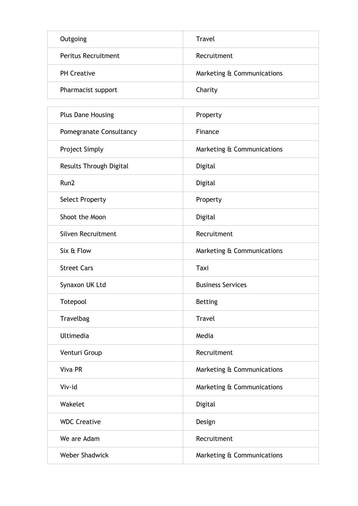| Outgoing                   | <b>Travel</b>              |
|----------------------------|----------------------------|
| <b>Peritus Recruitment</b> | Recruitment                |
| <b>PH</b> Creative         | Marketing & Communications |
| Pharmacist support         | Charity                    |

| <b>Plus Dane Housing</b> | Property                   |
|--------------------------|----------------------------|
| Pomegranate Consultancy  | Finance                    |
| <b>Project Simply</b>    | Marketing & Communications |
| Results Through Digital  | Digital                    |
| Run2                     | Digital                    |
| <b>Select Property</b>   | Property                   |
| Shoot the Moon           | Digital                    |
| Silven Recruitment       | Recruitment                |
| Six & Flow               | Marketing & Communications |
| <b>Street Cars</b>       | Taxi                       |
| Synaxon UK Ltd           | <b>Business Services</b>   |
| Totepool                 | <b>Betting</b>             |
| Travelbag                | <b>Travel</b>              |
| Ultimedia                | Media                      |
| Venturi Group            | Recruitment                |
| Viva PR                  | Marketing & Communications |
| Viv-id                   | Marketing & Communications |
| Wakelet                  | Digital                    |
| <b>WDC Creative</b>      | Design                     |
| We are Adam              | Recruitment                |
| <b>Weber Shadwick</b>    | Marketing & Communications |